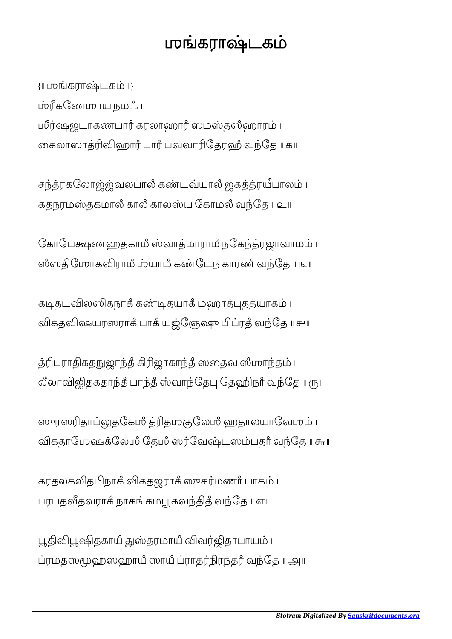## ஶகராடக

{॥ ஶகராடக ॥} கேணஶாய நமஃ । மீர்ஷஜடாகணபாரீ கரலாஹாரீ ஸமஸ்தஸீஹாரம் ၊ கைலாஸாத்ரிவிஹார் பார் பவவாரிதேரஹீ வந்தே ॥ க॥

சந்த்ரகலோஜ்ஜ்வலபாலீ கண்டவ்யாலீ ஜகத்த்ரயீபாலம் ၊ கதநரமஸ்தகமாலீ காலீ காலஸ்ய கோமலீ வந்தே ॥ உ॥

கோபேக்ஷணஹதகாமீ ஸ்வாத்மாராமீ நகேந்த்ரஜாவாமம் । ஸீஸதிமோகவிராமீ ம்யாமீ கண்டேந காரணீ வந்தே ॥ ௩ ॥

கடிதடவிலஸிதநாகீ கண்டிதயாகீ மஹாத்புதத்யாகம் । விகதவிஷயரஸராக் பாக் யஜ்ஞேஷு பிப்ரத் வந்தே ။ சு။

த்ரிபுராதிகதநுஜாந்தீ கிரிஜாகாந்தீ ஸதைவ ஸீமாந்தம் ၊ லீலாவிஜிதகதாந்தீ பாந்தீ ஸ்வாந்தேபு தேஹிநாீ வந்தே ။ ரூய

ஸுரஸரிதாப்லுதகேமீ த்ரிதமுகுலேமீ ஹதாலயாவேமம் ၊ விகதாமேஷக்லேமீ தேமீ ஸர்வேஷ்டஸம்பதர் வந்தே ॥ சுா

கரதலகலிதபிநாகீ விகதஜராகீ ஸுகர்மணரீ பாகம் ၊ பரபதவீதவராகீ நாகங்கமபூகவந்திதீ வந்தே ॥ எ॥

பூதிவிபூஷிதகாயீ துஸ்தரமாயீ விவர்ஜிதாபாயம் ၊ ரமதஸஹஸஹாயஂ ஸாயஂ ராதரதரஂ வேத ॥ ௮॥